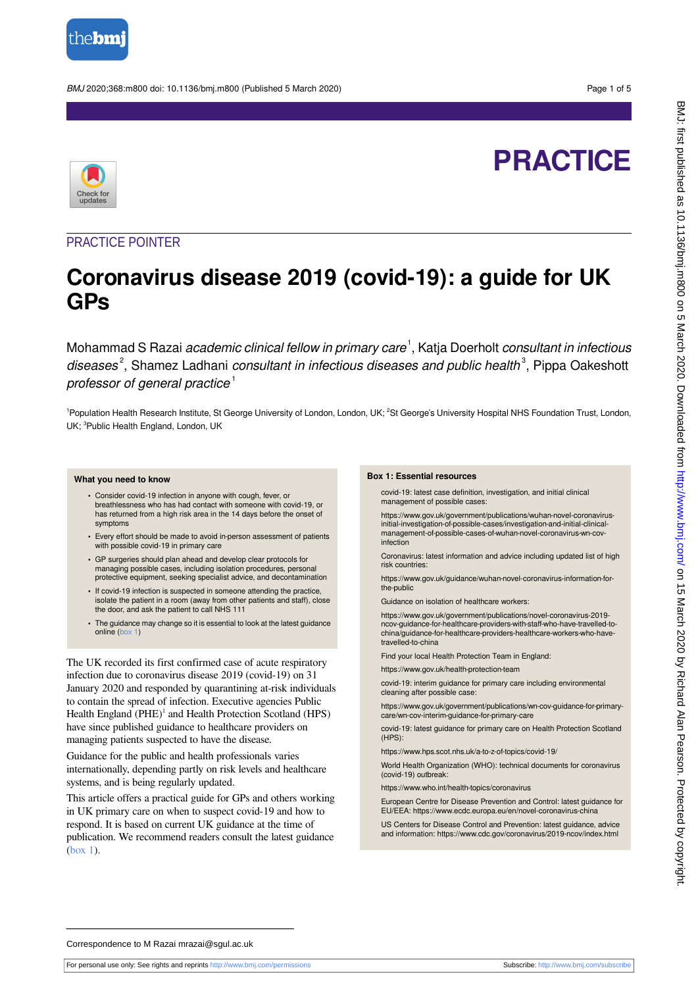

BMJ 2020;368:m800 doi: 10.1136/bmj.m800 (Published 5 March 2020) Page 1 of 5

# **PRACTICE**



### PRACTICE POINTER

## **Coronavirus disease 2019 (covid-19): a guide for UK GPs**

Mohammad S Razai *academic clinical fellow in primary care*<sup>1</sup>, Katia Doerholt *consultant in infectious* diseases<sup>2</sup>, Shamez Ladhani consultant in infectious diseases and public health<sup>3</sup>, Pippa Oakeshott professor of general practice<sup>1</sup>

<sup>1</sup>Population Health Research Institute, St George University of London, London, UK; <sup>2</sup>St George's University Hospital NHS Foundation Trust, London, UK; <sup>3</sup>Public Health England, London, UK

### **What you need to know**

- **•** Consider covid-19 infection in anyone with cough, fever, or breathlessness who has had contact with someone with covid-19, or has returned from a high risk area in the 14 days before the onset of symptoms
- **•** Every effort should be made to avoid in-person assessment of patients with possible covid-19 in primary care
- **•** GP surgeries should plan ahead and develop clear protocols for managing possible cases, including isolation procedures, personal protective equipment, seeking specialist advice, and decontamination
- **•** If covid-19 infection is suspected in someone attending the practice, isolate the patient in a room (away from other patients and staff), close the door, and ask the patient to call NHS 111
- **•** The guidance may change so it is essential to look at the latest guidance online [\(box 1](#page-0-0))

The UK recorded its first confirmed case of acute respiratory infection due to coronavirus disease 2019 (covid-19) on 31 January 2020 and responded by quarantining at-risk individuals to contain the spread of infection. Executive agencies Public Health England (PHE)<sup>1</sup> and Health Protection Scotland (HPS) have since published guidance to healthcare providers on managing patients suspected to have the disease.

Guidance for the public and health professionals varies internationally, depending partly on risk levels and healthcare systems, and is being regularly updated.

This article offers a practical guide for GPs and others working in UK primary care on when to suspect covid-19 and how to respond. It is based on current UK guidance at the time of publication. We recommend readers consult the latest guidance ([box 1](#page-0-0)).

### <span id="page-0-0"></span>**Box 1: Essential resources**

covid-19: latest case definition, investigation, and initial clinical management of possible cases:

https://www.gov.uk/government/publications/wuhan-novel-coronavirusinitial-investigation-of-possible-cases/investigation-and-initial-clinicalmanagement-of-possible-cases-of-wuhan-novel-coronavirus-wn-covinfection

Coronavirus: latest information and advice including updated list of high risk countries:

https://www.gov.uk/guidance/wuhan-novel-coronavirus-information-forthe-public

Guidance on isolation of healthcare workers:

https://www.gov.uk/government/publications/novel-coronavirus-2019 ncov-guidance-for-healthcare-providers-with-staff-who-have-travelled-tochina/guidance-for-healthcare-providers-healthcare-workers-who-havetravelled-to-china

Find your local Health Protection Team in England:

https://www.gov.uk/health-protection-team

covid-19: interim guidance for primary care including environmental cleaning after possible case:

https://www.gov.uk/government/publications/wn-cov-guidance-for-primarycare/wn-cov-interim-guidance-for-primary-care

covid-19: latest guidance for primary care on Health Protection Scotland (HPS):

https://www.hps.scot.nhs.uk/a-to-z-of-topics/covid-19/

World Health Organization (WHO): technical documents for coronavirus (covid-19) outbreak:

https://www.who.int/health-topics/coronavirus

European Centre for Disease Prevention and Control: latest guidance for EU/EEA: https://www.ecdc.europa.eu/en/novel-coronavirus-china

US Centers for Disease Control and Prevention: latest guidance, advice and information: https://www.cdc.gov/coronavirus/2019-ncov/index.html

Correspondence to M Razai mrazai@sgul.ac.uk

For personal use only: See rights and reprints<http://www.bmj.com/permissions> Subscribe: <http://www.bmj.com/subscribe>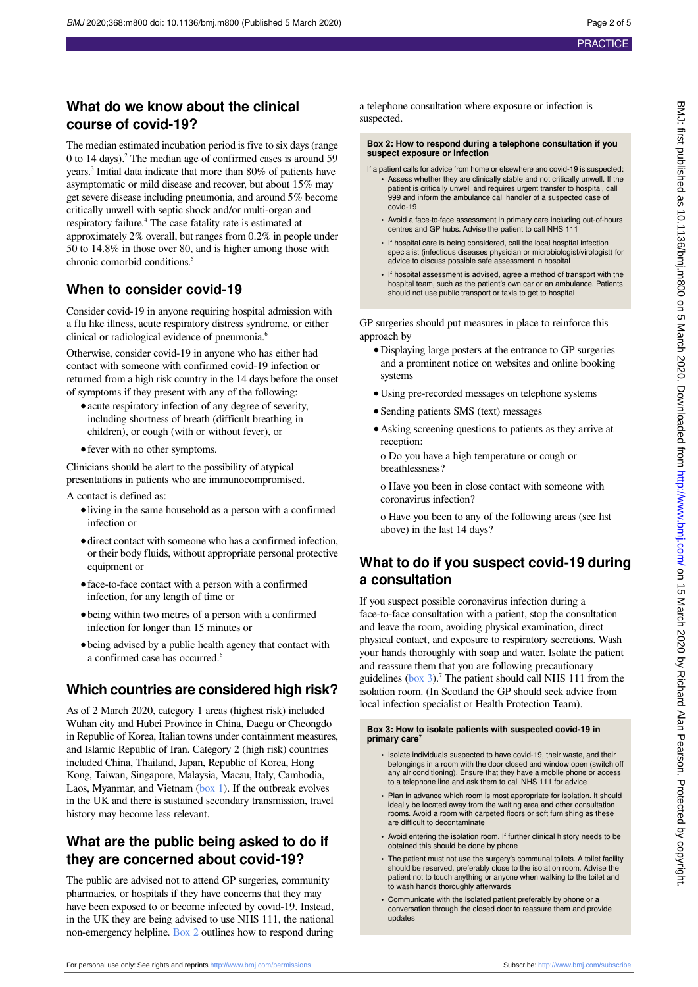### **What do we know about the clinical course of covid-19?**

The median estimated incubation period is five to six days (range 0 to 14 days).<sup>2</sup> The median age of confirmed cases is around 59 years.<sup>3</sup> Initial data indicate that more than 80% of patients have asymptomatic or mild disease and recover, but about 15% may get severe disease including pneumonia, and around 5% become critically unwell with septic shock and/or multi-organ and respiratory failure.<sup>4</sup> The case fatality rate is estimated at approximately 2% overall, but ranges from 0.2% in people under 50 to 14.8% in those over 80, and is higher among those with chronic comorbid conditions.<sup>5</sup>

### **When to consider covid-19**

Consider covid-19 in anyone requiring hospital admission with a flu like illness, acute respiratory distress syndrome, or either clinical or radiological evidence of pneumonia.<sup>6</sup>

Otherwise, consider covid-19 in anyone who has either had contact with someone with confirmed covid-19 infection or returned from a high risk country in the 14 days before the onset of symptoms if they present with any of the following:

- **•**acute respiratory infection of any degree of severity, including shortness of breath (difficult breathing in children), or cough (with or without fever), or
- **•**fever with no other symptoms.

Clinicians should be alert to the possibility of atypical presentations in patients who are immunocompromised.

A contact is defined as:

- **•**living in the same household as a person with a confirmed infection or
- **•**direct contact with someone who has a confirmed infection, or their body fluids, without appropriate personal protective equipment or
- **•**face-to-face contact with a person with a confirmed infection, for any length of time or
- **•**being within two metres of a person with a confirmed infection for longer than 15 minutes or
- **•**being advised by a public health agency that contact with a confirmed case has occurred.<sup>6</sup>

### **Which countries are considered high risk?**

As of 2 March 2020, category 1 areas (highest risk) included Wuhan city and Hubei Province in China, Daegu or Cheongdo in Republic of Korea, Italian towns under containment measures, and Islamic Republic of Iran. Category 2 (high risk) countries included China, Thailand, Japan, Republic of Korea, Hong Kong, Taiwan, Singapore, Malaysia, Macau, Italy, Cambodia, Laos, Myanmar, and Vietnam [\(box 1\)](#page-0-0). If the outbreak evolves in the UK and there is sustained secondary transmission, travel history may become less relevant.

### **What are the public being asked to do if they are concerned about covid-19?**

The public are advised not to attend GP surgeries, community pharmacies, or hospitals if they have concerns that they may have been exposed to or become infected by covid-19. Instead, in the UK they are being advised to use NHS 111, the national non-emergency helpline. [Box 2](#page-1-0) outlines how to respond during <span id="page-1-0"></span>a telephone consultation where exposure or infection is suspected.

**Box 2: How to respond during a telephone consultation if you suspect exposure or infection**

- If a patient calls for advice from home or elsewhere and covid-19 is suspected: **•** Assess whether they are clinically stable and not critically unwell. If the patient is critically unwell and requires urgent transfer to hospital, call 999 and inform the ambulance call handler of a suspected case of covid-19
	- **•** Avoid a face-to-face assessment in primary care including out-of-hours centres and GP hubs. Advise the patient to call NHS 111
	- **•** If hospital care is being considered, call the local hospital infection specialist (infectious diseases physician or microbiologist/virologist) for advice to discuss possible safe assessment in hospital
	- **•** If hospital assessment is advised, agree a method of transport with the hospital team, such as the patient's own car or an ambulance. Patients should not use public transport or taxis to get to hospital

GP surgeries should put measures in place to reinforce this approach by

- **•**Displaying large posters at the entrance to GP surgeries and a prominent notice on websites and online booking systems
- **•**Using pre-recorded messages on telephone systems
- **•**Sending patients SMS (text) messages
- **•**Asking screening questions to patients as they arrive at reception:

o Do you have a high temperature or cough or breathlessness?

o Have you been in close contact with someone with coronavirus infection?

o Have you been to any of the following areas (see list above) in the last 14 days?

### **What to do if you suspect covid-19 during a consultation**

<span id="page-1-1"></span>If you suspect possible coronavirus infection during a face-to-face consultation with a patient, stop the consultation and leave the room, avoiding physical examination, direct physical contact, and exposure to respiratory secretions. Wash your hands thoroughly with soap and water. Isolate the patient and reassure them that you are following precautionary guidelines  $(box 3)$  $(box 3)$  $(box 3)$ .<sup>7</sup> The patient should call NHS 111 from the isolation room. (In Scotland the GP should seek advice from local infection specialist or Health Protection Team).

### **Box 3: How to isolate patients with suspected covid-19 in primary care<sup>7</sup>**

- **•** Isolate individuals suspected to have covid-19, their waste, and their belongings in a room with the door closed and window open (switch off any air conditioning). Ensure that they have a mobile phone or access to a telephone line and ask them to call NHS 111 for advice
- **•** Plan in advance which room is most appropriate for isolation. It should ideally be located away from the waiting area and other consultation rooms. Avoid a room with carpeted floors or soft furnishing as these are difficult to decontaminate
- **•** Avoid entering the isolation room. If further clinical history needs to be obtained this should be done by phone
- **•** The patient must not use the surgery's communal toilets. A toilet facility should be reserved, preferably close to the isolation room. Advise the patient not to touch anything or anyone when walking to the toilet and to wash hands thoroughly afterwards
- **•** Communicate with the isolated patient preferably by phone or a conversation through the closed door to reassure them and provide updates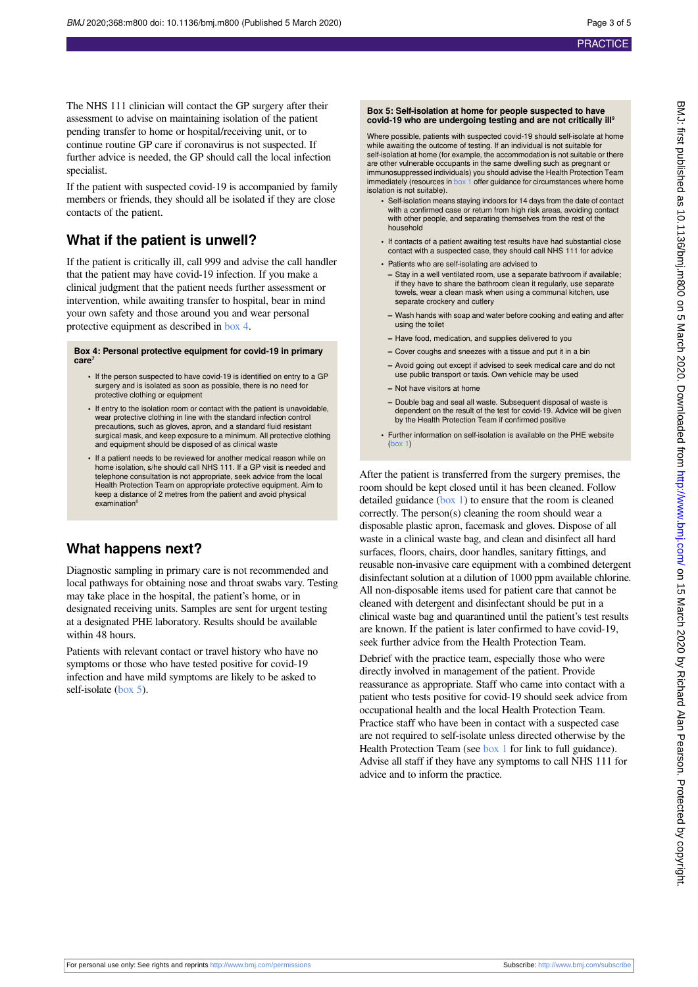If the patient with suspected covid-19 is accompanied by family members or friends, they should all be isolated if they are close contacts of the patient.

### **What if the patient is unwell?**

If the patient is critically ill, call 999 and advise the call handler that the patient may have covid-19 infection. If you make a clinical judgment that the patient needs further assessment or intervention, while awaiting transfer to hospital, bear in mind your own safety and those around you and wear personal protective equipment as described in [box 4](#page-2-0).

### <span id="page-2-0"></span>**Box 4: Personal protective equipment for covid-19 in primary care<sup>7</sup>**

- **•** If the person suspected to have covid-19 is identified on entry to a GP surgery and is isolated as soon as possible, there is no need for protective clothing or equipment
- **•** If entry to the isolation room or contact with the patient is unavoidable, wear protective clothing in line with the standard infection control precautions, such as gloves, apron, and a standard fluid resistant surgical mask, and keep exposure to a minimum. All protective clothing and equipment should be disposed of as clinical waste
- **•** If a patient needs to be reviewed for another medical reason while on home isolation, s/he should call NHS 111. If a GP visit is needed and telephone consultation is not appropriate, seek advice from the local Health Protection Team on appropriate protective equipment. Aim to keep a distance of 2 metres from the patient and avoid physical examination<sup>®</sup>

### **What happens next?**

Diagnostic sampling in primary care is not recommended and local pathways for obtaining nose and throat swabs vary. Testing may take place in the hospital, the patient's home, or in designated receiving units. Samples are sent for urgent testing at a designated PHE laboratory. Results should be available within 48 hours.

Patients with relevant contact or travel history who have no symptoms or those who have tested positive for covid-19 infection and have mild symptoms are likely to be asked to self-isolate ([box 5](#page-2-1)).

### <span id="page-2-1"></span>**Box 5: Self-isolation at home for people suspected to have covid-19 who are undergoing testing and are not critically ill<sup>9</sup>**

Where possible, patients with suspected covid-19 should self-isolate at home while awaiting the outcome of testing. If an individual is not suitable for self-isolation at home (for example, the accommodation is not suitable or there are other vulnerable occupants in the same dwelling such as pregnant or immunosuppressed individuals) you should advise the Health Protection Team immediately (resources in [box 1](#page-0-0) offer guidance for circumstances where home isolation is not suitable).

- **•** Self-isolation means staying indoors for 14 days from the date of contact with a confirmed case or return from high risk areas, avoiding contact with other people, and separating themselves from the rest of the household
- **•** If contacts of a patient awaiting test results have had substantial close contact with a suspected case, they should call NHS 111 for advice
- **•** Patients who are self-isolating are advised to
	- **–** Stay in a well ventilated room, use a separate bathroom if available; if they have to share the bathroom clean it regularly, use separate towels, wear a clean mask when using a communal kitchen, use separate crockery and cutlery
- **–** Wash hands with soap and water before cooking and eating and after using the toilet
- **–** Have food, medication, and supplies delivered to you
- **–** Cover coughs and sneezes with a tissue and put it in a bin
- **–** Avoid going out except if advised to seek medical care and do not use public transport or taxis. Own vehicle may be used
- **–** Not have visitors at home
- **–** Double bag and seal all waste. Subsequent disposal of waste is dependent on the result of the test for covid-19. Advice will be given by the Health Protection Team if confirmed positive
- **•** Further information on self-isolation is available on the PHE website [\(box 1](#page-0-0))

After the patient is transferred from the surgery premises, the room should be kept closed until it has been cleaned. Follow detailed guidance [\(box 1\)](#page-0-0) to ensure that the room is cleaned correctly. The person(s) cleaning the room should wear a disposable plastic apron, facemask and gloves. Dispose of all waste in a clinical waste bag, and clean and disinfect all hard surfaces, floors, chairs, door handles, sanitary fittings, and reusable non-invasive care equipment with a combined detergent disinfectant solution at a dilution of 1000 ppm available chlorine. All non-disposable items used for patient care that cannot be cleaned with detergent and disinfectant should be put in a clinical waste bag and quarantined until the patient's test results are known. If the patient is later confirmed to have covid-19, seek further advice from the Health Protection Team.

Debrief with the practice team, especially those who were directly involved in management of the patient. Provide reassurance as appropriate. Staff who came into contact with a patient who tests positive for covid-19 should seek advice from occupational health and the local Health Protection Team. Practice staff who have been in contact with a suspected case are not required to self-isolate unless directed otherwise by the Health Protection Team (see [box 1](#page-0-0) for link to full guidance). Advise all staff if they have any symptoms to call NHS 111 for advice and to inform the practice.

For personal use only: See rights and reprints<http://www.bmj.com/permissions> Subscribe: <http://www.bmj.com/subscribe>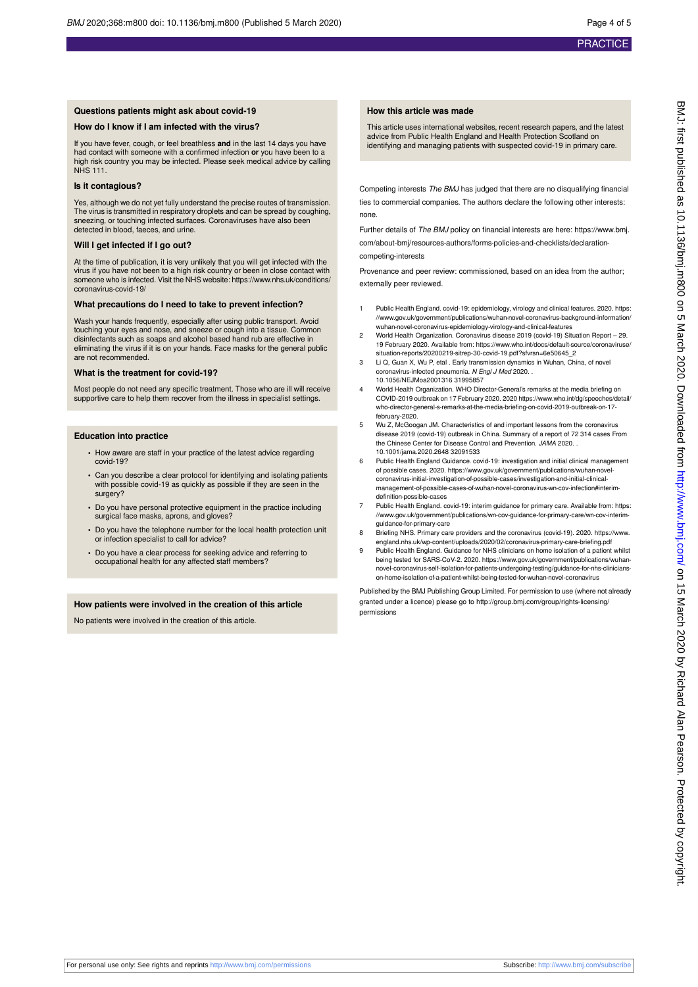### **Questions patients might ask about covid-19**

#### **How do I know if I am infected with the virus?**

If you have fever, cough, or feel breathless **and** in the last 14 days you have had contact with someone with a confirmed infection **or** you have been to a high risk country you may be infected. Please seek medical advice by calling NHS 111.

#### **Is it contagious?**

Yes, although we do not yet fully understand the precise routes of transmission. The virus is transmitted in respiratory droplets and can be spread by coughing, sneezing, or touching infected surfaces. Coronaviruses have also been detected in blood, faeces, and urine.

#### **Will I get infected if I go out?**

At the time of publication, it is very unlikely that you will get infected with the virus if you have not been to a high risk country or been in close contact with someone who is infected. Visit the NHS website: https://www.nhs.uk/conditions/ coronavirus-covid-19/

#### **What precautions do I need to take to prevent infection?**

Wash your hands frequently, especially after using public transport. Avoid touching your eyes and nose, and sneeze or cough into a tissue. Common disinfectants such as soaps and alcohol based hand rub are effective in eliminating the virus if it is on your hands. Face masks for the general public are not recommended.

#### **What is the treatment for covid-19?**

Most people do not need any specific treatment. Those who are ill will receive supportive care to help them recover from the illness in specialist settings.

#### **Education into practice**

- **•** How aware are staff in your practice of the latest advice regarding covid-19?
- **•** Can you describe a clear protocol for identifying and isolating patients with possible covid-19 as quickly as possible if they are seen in the surgery?
- **•** Do you have personal protective equipment in the practice including surgical face masks, aprons, and gloves?
- **•** Do you have the telephone number for the local health protection unit fection specialist to call for advice?
- **•** Do you have a clear process for seeking advice and referring to occupational health for any affected staff members?

#### **How patients were involved in the creation of this article**

No patients were involved in the creation of this article.

### **How this article was made**

This article uses international websites, recent research papers, and the latest advice from Public Health England and Health Protection Scotland on identifying and managing patients with suspected covid-19 in primary care.

Competing interests The BMJ has judged that there are no disqualifying financial ties to commercial companies. The authors declare the following other interests: none.

Further details of The BMJ policy on financial interests are here: https://www.bmj. com/about-bmj/resources-authors/forms-policies-and-checklists/declarationcompeting-interests

Provenance and peer review: commissioned, based on an idea from the author; externally peer reviewed.

- Public Health England. covid-19: epidemiology, virology and clinical features. 2020. https //www.gov.uk/government/publications/wuhan-novel-coronavirus-background-information/ wuhan-novel-coronavirus-epidemiology-virology-and-clinical-features
- 2 World Health Organization. Coronavirus disease 2019 (covid-19) Situation Report 29. 19 February 2020. Available from: https://www.who.int/docs/default-source/coronaviruse/ situation-reports/20200219-sitrep-30-covid-19.pdf?sfvrsn=6e50645\_2
- 3 Li Q, Guan X, Wu P, etal . Early transmission dynamics in Wuhan, China, of novel coronavirus-infected pneumonia. N Engl J Med 2020. . 10.1056/NEJMoa2001316 31995857
- 4 World Health Organization. WHO Director-General's remarks at the media briefing on COVID-2019 outbreak on 17 February 2020. 2020 https://www.who.int/dg/speeches/detail/ who-director-general-s-remarks-at-the-media-briefing-on-covid-2019-outbreak-on-17 february-2020.
- 5 Wu Z, McGoogan JM. Characteristics of and important lessons from the coronavirus disease 2019 (covid-19) outbreak in China. Summary of a report of 72 314 cases From the Chinese Center for Disease Control and Prevention. JAMA 2020. . 10.1001/jama.2020.2648 32091533
- 6 Public Health England Guidance. covid-19: investigation and initial clinical management of possible cases. 2020. https://www.gov.uk/government/publications/wuhan-novelcoronavirus-initial-investigation-of-possible-cases/investigation-and-initial-clinicalmanagement-of-possible-cases-of-wuhan-novel-coronavirus-wn-cov-infection#interimdefinition-possible-cases
- Public Health England. covid-19: interim guidance for primary care. Available from: https: //www.gov.uk/government/publications/wn-cov-guidance-for-primary-care/wn-cov-interimguidance-for-primary-care
- 8 Briefing NHS. Primary care providers and the coronavirus (covid-19). 2020. https://www. england.nhs.uk/wp-content/uploads/2020/02/coronavirus-primary-care-briefing.pdf
- 9 Public Health England. Guidance for NHS clinicians on home isolation of a patient whilst being tested for SARS-CoV-2. 2020. https://www.gov.uk/government/publications/wuhannovel-coronavirus-self-isolation-for-patients-undergoing-testing/guidance-for-nhs-clinicianson-home-isolation-of-a-patient-whilst-being-tested-for-wuhan-novel-coronavirus

Published by the BMJ Publishing Group Limited. For permission to use (where not already granted under a licence) please go to [http://group.bmj.com/group/rights-licensing/](http://group.bmj.com/group/rights-licensing/permissions) [permissions](http://group.bmj.com/group/rights-licensing/permissions)

For personal use only: See rights and reprints<http://www.bmj.com/permissions> Subscribe: <http://www.bmj.com/subscribe>